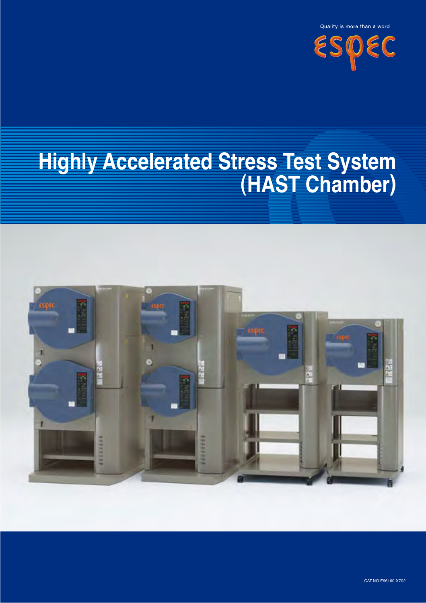

# **Highly Accelerated Stress Test System (HAST Chamber)**

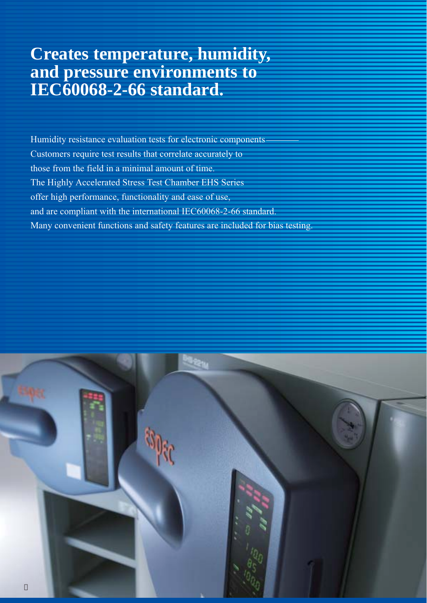## **Creates temperature, humidity, and pressure environments to IEC60068-2-66 standard.**

Humidity resistance evaluation tests for electronic components Customers require test results that correlate accurately to those from the field in a minimal amount of time. The Highly Accelerated Stress Test Chamber EHS Series offer high performance, functionality and ease of use, and are compliant with the international IEC60068-2-66 standard. Many convenient functions and safety features are included for bias testing.

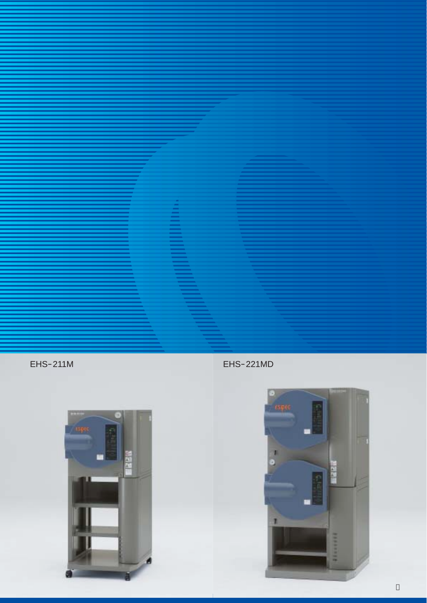EHS 211M EHS 221MD



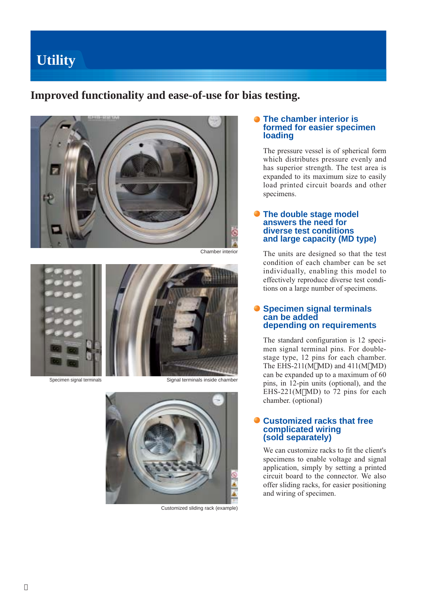## **Utility**

### **Improved functionality and ease-of-use for bias testing.**



Chamber interior







Customized sliding rack (example)

### **The chamber interior is formed for easier specimen loading**

The pressure vessel is of spherical form which distributes pressure evenly and has superior strength. The test area is expanded to its maximum size to easily load printed circuit boards and other specimens.

### **The double stage model answers the need for diverse test conditions and large capacity (MD type)**

The units are designed so that the test condition of each chamber can be set individually, enabling this model to effectively reproduce diverse test conditions on a large number of specimens.

### **Specimen signal terminals can be added depending on requirements**

The standard configuration is 12 specimen signal terminal pins. For doublestage type, 12 pins for each chamber. The EHS-211(M MD) and 411(M MD) can be expanded up to a maximum of 60 pins, in 12-pin units (optional), and the EHS-221(M MD) to 72 pins for each chamber. (optional)

### **Customized racks that free complicated wiring (sold separately)**

We can customize racks to fit the client's specimens to enable voltage and signal application, simply by setting a printed circuit board to the connector. We also offer sliding racks, for easier positioning and wiring of specimen.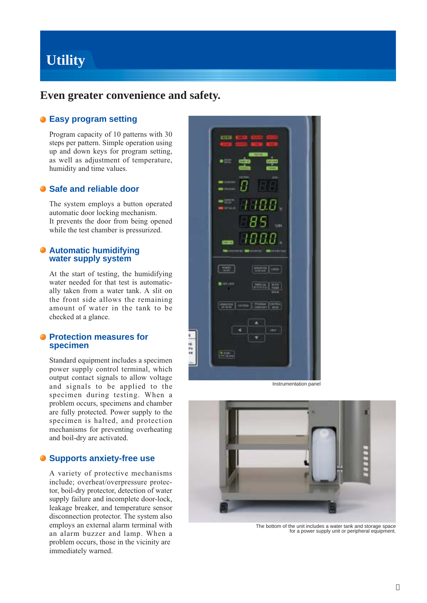## **Utility**

### **Even greater convenience and safety.**

### **Easy program setting**

Program capacity of 10 patterns with 30 steps per pattern. Simple operation using up and down keys for program setting, as well as adjustment of temperature, humidity and time values.

### **Safe and reliable door**

The system employs a button operated automatic door locking mechanism. It prevents the door from being opened while the test chamber is pressurized.

### **Automatic humidifying water supply system**

At the start of testing, the humidifying water needed for that test is automatically taken from a water tank. A slit on the front side allows the remaining amount of water in the tank to be checked at a glance.

### **• Protection measures for specimen**

Standard equipment includes a specimen power supply control terminal, which output contact signals to allow voltage and signals to be applied to the specimen during testing. When a problem occurs, specimens and chamber are fully protected. Power supply to the specimen is halted, and protection mechanisms for preventing overheating and boil-dry are activated.

### **Supports anxiety-free use**

A variety of protective mechanisms include; overheat/overpressure protector, boil-dry protector, detection of water supply failure and incomplete door-lock, leakage breaker, and temperature sensor disconnection protector. The system also employs an external alarm terminal with an alarm buzzer and lamp. When a problem occurs, those in the vicinity are immediately warned.



Instrumentation panel



The bottom of the unit includes a water tank and storage space for a power supply unit or peripheral equipment.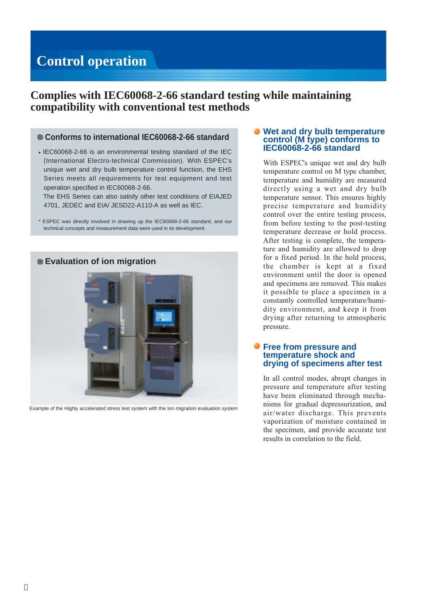## **Control operation**

### **Complies with IEC60068-2-66 standard testing while maintaining compatibility with conventional test methods**

### **Conforms to international IEC60068-2-66 standard**

IEC60068-2-66 is an environmental testing standard of the IEC (International Electro-technical Commission). With ESPEC's unique wet and dry bulb temperature control function, the EHS Series meets all requirements for test equipment and test operation specified in IEC60068-2-66.

The EHS Series can also satisfy other test conditions of EIAJED 4701, JEDEC and EIA/ JESD22-A110-A as well as IEC.

\* ESPEC was directly involved in drawing up the IEC60068-2-66 standard, and our technical concepts and measurement data were used in its development.



Example of the Highly accelerated stress test system with the Ion migration evaluation system

### **Wet and dry bulb temperature control (M type) conforms to IEC60068-2-66 standard**

With ESPEC's unique wet and dry bulb temperature control on M type chamber, temperature and humidity are measured directly using a wet and dry bulb temperature sensor. This ensures highly precise temperature and humidity control over the entire testing process, from before testing to the post-testing temperature decrease or hold process. After testing is complete, the temperature and humidity are allowed to drop for a fixed period. In the hold process, the chamber is kept at a fixed environment until the door is opened and specimens are removed. This makes it possible to place a specimen in a constantly controlled temperature/humidity environment, and keep it from drying after returning to atmospheric pressure.

### **Free from pressure and temperature shock and drying of specimens after test**

In all control modes, abrupt changes in pressure and temperature after testing have been eliminated through mechanisms for gradual depressurization, and air/water discharge. This prevents vaporization of moisture contained in the specimen, and provide accurate test results in correlation to the field.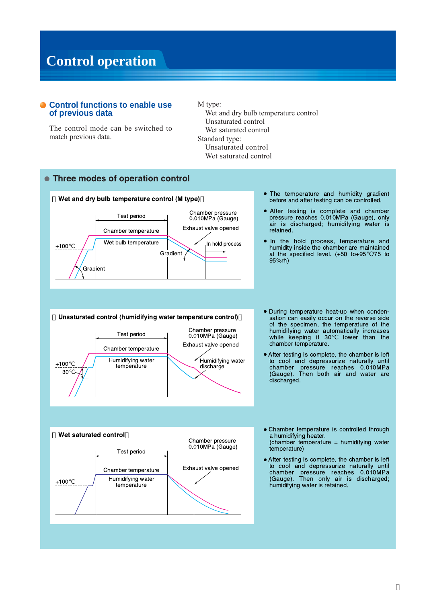## **Control operation**

### **Control functions to enable use** of previous data

The control mode can be switched to match previous data.

### M type:

Exhaust valve opened

discharge

Humidifying water

Wet and dry bulb temperature control Unsaturated control Wet saturated control Standard type: Unsaturated control Wet saturated control

### Three modes of operation control



Test period

Chamber temperature

Humidifying water

temperature

 $+100$ 

30

The temperature and humidity gradient before and after testing can be controlled.

After testing is complete and chamber pressure reaches 0.010MPa (Gauge), only<br>air is discharged; humidifying water is retained.

In the hold process, temperature and humidity inside the chamber are maintained at the specified level.  $(+50$  to $+95$  /75 to 95%rh)

During temperature heat-up when conden-Unsaturated control (humidifying water temperature control) sation can easily occur on the reverse side of the specimen, the temperature of the Chamber pressure humidifying water automatically increases<br>while keeping it 30 lower than the 0.010MPa (Gauge)

chamber temperature.

After testing is complete, the chamber is left to cool and depressurize naturally until chamber pressure reaches 0.010MPa (Gauge). Then both air and water are discharged.



Chamber temperature is controlled through a humidifying heater.

(chamber temperature = humidifying water temperature)

After testing is complete, the chamber is left to cool and depressurize naturally until chamber pressure reaches 0.010MPa<br>(Gauge). Then only air is discharged; humidifying water is retained.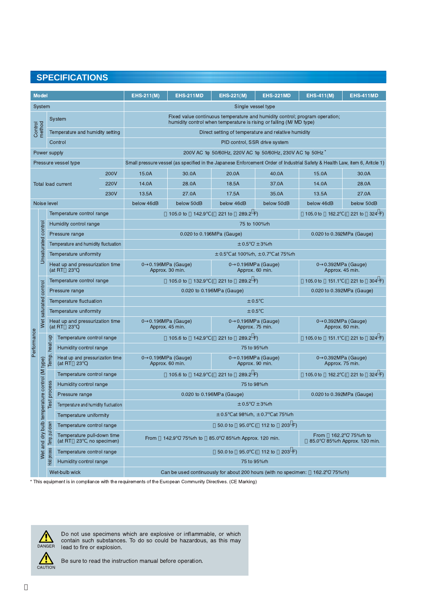### **SPECIFICATIONS**

| <b>Model</b>                                             |                                               |                                               |                                                       | $EHS-211(M)$                                                                                                                                      | <b>EHS-211MD</b>                        | <b>EHS-221(M)</b>                                                               | <b>EHS-221MD</b>          | $EHS-411(M)$                        | <b>EHS-411MD</b>       |
|----------------------------------------------------------|-----------------------------------------------|-----------------------------------------------|-------------------------------------------------------|---------------------------------------------------------------------------------------------------------------------------------------------------|-----------------------------------------|---------------------------------------------------------------------------------|---------------------------|-------------------------------------|------------------------|
| System                                                   |                                               |                                               |                                                       | Single vessel type                                                                                                                                |                                         |                                                                                 |                           |                                     |                        |
|                                                          |                                               |                                               | System                                                | Fixed value continuous temperature and humidity control; program operation;<br>humidity control when temperature is rising or falling (M/MD type) |                                         |                                                                                 |                           |                                     |                        |
| Control<br>method                                        |                                               | Temperature and humidity setting              |                                                       | Direct setting of temperature and relative humidity                                                                                               |                                         |                                                                                 |                           |                                     |                        |
|                                                          |                                               | Control                                       |                                                       | PID control, SSR drive system                                                                                                                     |                                         |                                                                                 |                           |                                     |                        |
| Power supply                                             |                                               |                                               |                                                       | 200V AC 1 50/60Hz, 220V AC 1 50/60Hz, 230V AC 1 50Hz <sup>*</sup>                                                                                 |                                         |                                                                                 |                           |                                     |                        |
| Pressure vessel type                                     |                                               |                                               |                                                       | Small pressure vessel (as specified in the Japanese Enforcement Order of Industrial Safety & Health Law, item 6, Aritcle 1)                       |                                         |                                                                                 |                           |                                     |                        |
| 200V                                                     |                                               |                                               |                                                       | 15.0A                                                                                                                                             | 30.0A                                   | 20.0A                                                                           | 40.0A                     | 15.0A                               | 30.0A                  |
| 220V<br><b>Total load current</b><br>230V<br>Noise level |                                               |                                               |                                                       | 14.0A                                                                                                                                             | 28.0A                                   | 18.5A                                                                           | 37.0A                     | 14.0A                               | 28.0A                  |
|                                                          |                                               |                                               |                                                       | 13.5A                                                                                                                                             | 27.0A                                   | 17.5A                                                                           | 35.0A                     | 13.5A                               | 27.0A                  |
|                                                          |                                               |                                               |                                                       | below 46dB                                                                                                                                        | below 50dB                              | below 46dB                                                                      | below 50dB                | below 46dB                          | below 50dB             |
|                                                          |                                               | Temperature control range                     |                                                       |                                                                                                                                                   | 105.0 to<br>142.9                       | 221 to<br>289.2 F<br>$\left($                                                   |                           | 162.2<br>105.0 to                   | 221 to 324 F)          |
|                                                          |                                               |                                               | Humidity control range                                | 75 to 100%rh                                                                                                                                      |                                         |                                                                                 |                           |                                     |                        |
|                                                          | Unsaturated control                           |                                               | Pressure range                                        |                                                                                                                                                   | 0.020 to 0.196MPa (Gauge)               |                                                                                 |                           | 0.020 to 0.392MPa (Gauge)           |                        |
|                                                          |                                               |                                               | Temperature and humidity fluctuation                  | $\pm 0.5$ / $\pm 3\%$ rh                                                                                                                          |                                         |                                                                                 |                           |                                     |                        |
|                                                          |                                               |                                               | Temperature uniformity                                |                                                                                                                                                   | $\pm$ 0.5 at 100%rh, $\pm$ 0.7 at 75%rh |                                                                                 |                           |                                     |                        |
|                                                          |                                               | Heat up and pressurization time<br>(at RT 23) |                                                       | $\mathbf{0}$                                                                                                                                      | 0.196MPa (Gauge)<br>Approx. 30 min.     | $0$ 0.196MPa (Gauge)<br>Approx. 60 min.                                         |                           | $0$ 0.392MPa (Gauge)                | Approx. 45 min.        |
|                                                          | Wet saturated control                         |                                               | Temperature control range                             |                                                                                                                                                   | $105.0$ to<br>132.9                     | (221 to<br>289.2 F                                                              |                           | 105.0 to                            | 151.1 (221 to 304 F)   |
|                                                          |                                               | Pressure range                                |                                                       | 0.020 to 0.196MPa (Gauge)                                                                                                                         |                                         |                                                                                 | 0.020 to 0.392MPa (Gauge) |                                     |                        |
|                                                          |                                               | Temperature fluctuation                       |                                                       | ± 0.5                                                                                                                                             |                                         |                                                                                 |                           |                                     |                        |
|                                                          |                                               | Temperature uniformity                        |                                                       | ± 0.5                                                                                                                                             |                                         |                                                                                 |                           |                                     |                        |
|                                                          | Heat up and pressurization time<br>(at RT 23) |                                               |                                                       | 0.196MPa (Gauge)<br>0.196MPa (Gauge)<br>$\mathbf{0}$<br>$\mathbf{0}$<br>Approx. 45 min.<br>Approx. 75 min.                                        |                                         |                                                                                 | 0                         | 0.392MPa (Gauge)<br>Approx. 60 min. |                        |
|                                                          |                                               |                                               | Temperature control range                             |                                                                                                                                                   | 105.6 to<br>142.9                       | 221 to<br>289.2 F                                                               |                           | $105.0$ to<br>151.1                 | 221 to<br>324 F        |
| Performance                                              |                                               |                                               | Humidity control range                                |                                                                                                                                                   |                                         | 75 to 95%rh                                                                     |                           |                                     |                        |
|                                                          |                                               | Temp. heat-up                                 | Heat up and pressurization time<br>(at RT 23)         | $\mathbf{0}$                                                                                                                                      | 0.196MPa (Gauge)<br>Approx. 60 min.     | $0$ 0.196MPa (Gauge)<br>Approx. 90 min.                                         |                           | 0 0.392MPa (Gauge)                  | Approx. 75 min.        |
|                                                          |                                               |                                               | Temperature control range                             |                                                                                                                                                   | 142.9<br>105.6 to                       | 221 to<br>289.2 F                                                               |                           | $105.0$ to                          | 162.2 (221 to<br>324 F |
|                                                          |                                               |                                               | Humidity control range                                |                                                                                                                                                   |                                         | 75 to 98%rh                                                                     |                           |                                     |                        |
|                                                          |                                               | process                                       | Pressure range                                        | 0.020 to 0.196MPa (Gauge)<br>0.020 to 0.392MPa (Gauge)                                                                                            |                                         |                                                                                 |                           |                                     |                        |
|                                                          |                                               | lsel                                          | Temperature and humidity fluctuation                  | $\pm 0.5$ / $\pm 3\%$ rh                                                                                                                          |                                         |                                                                                 |                           |                                     |                        |
|                                                          |                                               |                                               | Temperature uniformity                                | $\pm$ 0.5 at 98% rh, $\pm$ 0.7 at 75% rh                                                                                                          |                                         |                                                                                 |                           |                                     |                        |
|                                                          |                                               |                                               | Temperature control range                             | 95.0 ( 112 to<br>$203 F$ )<br>50.0 to                                                                                                             |                                         |                                                                                 |                           |                                     |                        |
|                                                          | Wet and dry bulb temperature control (M type) | Temp. pull-down                               | Temperature pull-down time<br>(at RT 23, no specimen) | 162.2 / 75%rh to<br>From<br>142.9 / 75%rh to<br>85.0 / 85% rh Approx. 120 min.<br>From<br>85.0 / 85%rh Approx. 120 min.                           |                                         |                                                                                 |                           |                                     |                        |
|                                                          |                                               | Hold process                                  | Temperature control range                             |                                                                                                                                                   |                                         | 50.0 to<br>95.0                                                                 | (112 to<br>$203 F$ )      |                                     |                        |
|                                                          |                                               |                                               | Humidity control range                                |                                                                                                                                                   | 75 to 95%rh                             |                                                                                 |                           |                                     |                        |
|                                                          |                                               |                                               | Wet-bulb wick                                         |                                                                                                                                                   |                                         | Can be used continuously for about 200 hours (with no specimen: 162.2 / 75% rh) |                           |                                     |                        |

\* This equipment is in compliance with the requirements of the European Community Directives. (CE Marking)



Do not use specimens which are explosive or inflammable, or which contain such substances. To do so could be hazardous, as this may lead to fire or explosion.

 $\frac{\sqrt{N}}{\text{CAUTION}}$ 

Be sure to read the instruction manual before operation.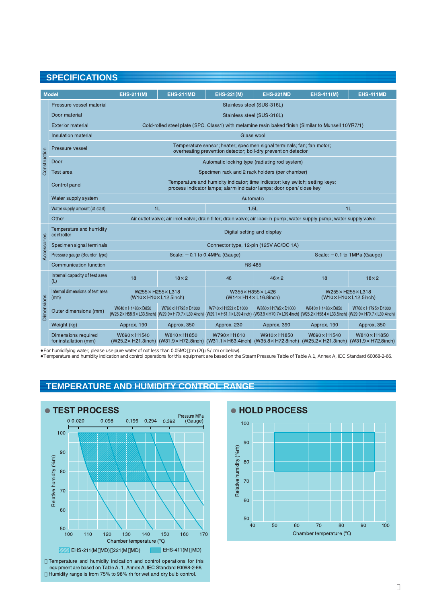### **SPECIFICATIONS**

|                                                                                                                                                                                                                                                                    | <b>Model</b>                                        | <b>EHS-211(M)</b>                                                                                                                                    | <b>EHS-211MD</b>   | <b>EHS-221(M)</b>                                                                                                                                                                 | <b>EHS-221MD</b>   | <b>EHS-411(M)</b>                         | <b>EHS-411MD</b>   |  |  |
|--------------------------------------------------------------------------------------------------------------------------------------------------------------------------------------------------------------------------------------------------------------------|-----------------------------------------------------|------------------------------------------------------------------------------------------------------------------------------------------------------|--------------------|-----------------------------------------------------------------------------------------------------------------------------------------------------------------------------------|--------------------|-------------------------------------------|--------------------|--|--|
| Construction                                                                                                                                                                                                                                                       | Pressure vessel material                            | Stainless steel (SUS-316L)                                                                                                                           |                    |                                                                                                                                                                                   |                    |                                           |                    |  |  |
|                                                                                                                                                                                                                                                                    | Door material                                       | Stainless steel (SUS-316L)                                                                                                                           |                    |                                                                                                                                                                                   |                    |                                           |                    |  |  |
|                                                                                                                                                                                                                                                                    | <b>Exterior material</b>                            | Cold-rolled steel plate (SPC, Class1) with melamine resin baked finish (Similar to Munsell 10YR7/1)                                                  |                    |                                                                                                                                                                                   |                    |                                           |                    |  |  |
|                                                                                                                                                                                                                                                                    | Insulation material                                 | Glass wool                                                                                                                                           |                    |                                                                                                                                                                                   |                    |                                           |                    |  |  |
|                                                                                                                                                                                                                                                                    | Pressure vessel                                     |                                                                                                                                                      |                    | Temperature sensor; heater; specimen signal terminals; fan; fan motor;<br>overheating prevention detector; boil-dry prevention detector                                           |                    |                                           |                    |  |  |
|                                                                                                                                                                                                                                                                    | Door                                                | Automatic locking type (radiating rod system)                                                                                                        |                    |                                                                                                                                                                                   |                    |                                           |                    |  |  |
|                                                                                                                                                                                                                                                                    | <b>Test area</b>                                    | Specimen rack and 2 rack holders (per chamber)                                                                                                       |                    |                                                                                                                                                                                   |                    |                                           |                    |  |  |
|                                                                                                                                                                                                                                                                    | Control panel                                       | Temperature and humidity indicator; time indicator; key switch; setting keys;<br>process indicator lamps; alarm indicator lamps; door open/close key |                    |                                                                                                                                                                                   |                    |                                           |                    |  |  |
|                                                                                                                                                                                                                                                                    | Water supply system                                 |                                                                                                                                                      |                    |                                                                                                                                                                                   | Automatic          |                                           |                    |  |  |
|                                                                                                                                                                                                                                                                    | 1L<br>Water supply amount (at start)                |                                                                                                                                                      |                    | 1.5L                                                                                                                                                                              |                    | 1L                                        |                    |  |  |
|                                                                                                                                                                                                                                                                    | Other                                               |                                                                                                                                                      |                    | Air outlet valve; air inlet valve; drain filter; drain valve; air lead-in pump; water supply pump; water supply valve                                                             |                    |                                           |                    |  |  |
|                                                                                                                                                                                                                                                                    | Temperature and humidity<br>controller              | Digital setting and display                                                                                                                          |                    |                                                                                                                                                                                   |                    |                                           |                    |  |  |
|                                                                                                                                                                                                                                                                    | Specimen signal terminals                           |                                                                                                                                                      |                    | Connector type, 12-pin (125V AC/DC 1A)                                                                                                                                            |                    |                                           |                    |  |  |
| Accessories                                                                                                                                                                                                                                                        | Pressure gauge (Bourdon type)                       |                                                                                                                                                      | Scale:             | 0.1 to 0.4MPa (Gauge)                                                                                                                                                             |                    | 0.1 to 1MPa (Gauge)<br>Scale:             |                    |  |  |
|                                                                                                                                                                                                                                                                    | Communication function                              | <b>RS-485</b>                                                                                                                                        |                    |                                                                                                                                                                                   |                    |                                           |                    |  |  |
| <b>Dimensions</b>                                                                                                                                                                                                                                                  | Internal capacity of test area<br>(L)               | 18                                                                                                                                                   | $18\times 2$       | 46                                                                                                                                                                                | $46 \times 2$      | 18                                        | $18\times 2$       |  |  |
|                                                                                                                                                                                                                                                                    | Internal dimensions of test area<br>(mm)            | W255x H255x L318<br>(W10× H10× L12.5inch)                                                                                                            |                    | W355x H355x L426<br>(W14× H14× L16.8inch)                                                                                                                                         |                    | W255x H255x L318<br>(W10× H10× L12.5inch) |                    |  |  |
|                                                                                                                                                                                                                                                                    | Outer dimensions (mm)                               | W640× H1483× D850                                                                                                                                    | W760x H1795x D1000 | W740× H1553× D1000<br>(W25.2x H58.9x L33.5inch) (W29.9x H70.7x L39.4inch) (W29.1x H61.1x L39.4inch) (W33.9x H70.7x L39.4inch) (W25.2x H58.4x L33.5inch) (W29.9x H70.7x L39.4inch) | W860x H1795x D1000 | W640× H1483× D850                         | W760× H1795× D1000 |  |  |
|                                                                                                                                                                                                                                                                    | Weight (kg)                                         | Approx. 190                                                                                                                                          | Approx. 350        | Approx. 230                                                                                                                                                                       | Approx. 390        | Approx. 190                               | Approx. 350        |  |  |
|                                                                                                                                                                                                                                                                    | <b>Dimensions required</b><br>for installation (mm) | W690× H1540                                                                                                                                          | W810× H1850        | W790× H1610<br>(W25.2× H21.3inch) (W31.9× H72.8inch) (W31.1× H63.4inch) (W35.8× H72.8inch) (W25.2× H21.3inch) (W31.9× H72.8inch)                                                  | W910× H1850        | W690× H1540                               | W810× H1850        |  |  |
| For humidifying water, please use pure water of not less than 0.05M cm (20u S/cm or below).<br>Temperature and humidity indication and control operations for this equipment are based on the Steam Pressure Table of Table A.1, Annex A, IEC Standard 60068-2-66. |                                                     |                                                                                                                                                      |                    |                                                                                                                                                                                   |                    |                                           |                    |  |  |

For humidifying water, please use pure water of not less than 0.05M cm (20µS/ cm or below).<br>Temperature and humidity indication and control operations for this equipment are based on the Steam Pressure Table of Table A.1,

### **TEMPERATURE AND HUMIDITY CONTROL RANGE**



Temperature and humidity indication and control operations for this equipment are based on Table A. 1, Annex A, IEC Standard 60068-2-66. Humidity range is from 75% to 98% rh for wet and dry bulb control.

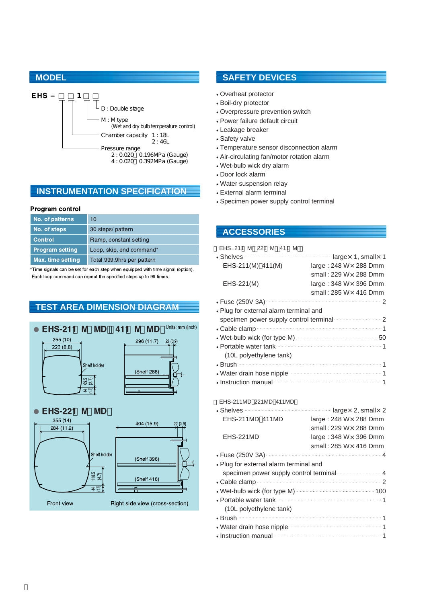

### **INSTRUMENTATION SPECIFICATION**

#### **Program control**

| No. of patterns          | 10                         |
|--------------------------|----------------------------|
| No. of steps             | 30 steps/ pattern          |
| <b>Control</b>           | Ramp, constant setting     |
| <b>Program setting</b>   | Loop, skip, end command*   |
| <b>Max. time setting</b> | Total 999.9hrs per pattern |

\*Time signals can be set for each step when equipped with time signal (option). Each loop command can repeat the specified steps up to 99 times.

### **TEST AREA DIMENSION DIAGRAM**



### **MODEL SAFETY DEVICES**

Overheat protector Boil-dry protector Overpressure prevention switch Power failure default circuit Leakage breaker Safety valve Temperature sensor disconnection alarm Air-circulating fan/motor rotation alarm Wet-bulb wick dry alarm Door lock alarm Water suspension relay External alarm terminal Specimen power supply control terminal

### **ACCESSORIES**

| EHS 211 M 221 M 411 M                                                                                                                                                                      |                               |  |  |  |
|--------------------------------------------------------------------------------------------------------------------------------------------------------------------------------------------|-------------------------------|--|--|--|
| Shelves <b>Shelves Shelves Shelves Shelves Shelves Shelves Shelves Shelves Shelves Shelves Shelves Shelves Shelves Shelves Shelves Shelves Shelves Shelves Shelves Shelves Shelves She</b> |                               |  |  |  |
| EHS-211(M) 411(M)                                                                                                                                                                          | large: $248 W \times 288$ Dmm |  |  |  |
|                                                                                                                                                                                            | small: 229 W $\times$ 288 Dmm |  |  |  |
| EHS-221(M)                                                                                                                                                                                 | large: $348 W \times 396$ Dmm |  |  |  |
|                                                                                                                                                                                            | small: 285 W × 416 Dmm        |  |  |  |
| Fuse (250V 3A) 2                                                                                                                                                                           |                               |  |  |  |
| Plug for external alarm terminal and                                                                                                                                                       |                               |  |  |  |
| specimen power supply control terminal manufacture 2                                                                                                                                       |                               |  |  |  |
|                                                                                                                                                                                            |                               |  |  |  |
| Wet-bulb wick (for type M) manufactured and 50                                                                                                                                             |                               |  |  |  |
|                                                                                                                                                                                            |                               |  |  |  |
| (10L polyethylene tank)                                                                                                                                                                    |                               |  |  |  |
|                                                                                                                                                                                            |                               |  |  |  |
| Water drain hose nipple manufactured and the 1                                                                                                                                             |                               |  |  |  |
| Instruction manual 1                                                                                                                                                                       |                               |  |  |  |

### EHS-211MD 221MD 411MD

| Shelves <b>Constitution</b> largex 2, small x 2                                                                                                                                                                                      |                               |
|--------------------------------------------------------------------------------------------------------------------------------------------------------------------------------------------------------------------------------------|-------------------------------|
| EHS-211MD 411MD                                                                                                                                                                                                                      | large: $248 W \times 288$ Dmm |
|                                                                                                                                                                                                                                      | small: 229 W × 288 Dmm        |
| EHS-221MD                                                                                                                                                                                                                            | large: $348 W \times 396$ Dmm |
|                                                                                                                                                                                                                                      | small: $285 W \times 416$ Dmm |
|                                                                                                                                                                                                                                      |                               |
| Plug for external alarm terminal and                                                                                                                                                                                                 |                               |
| specimen power supply control terminal manufactured 4                                                                                                                                                                                |                               |
| Cable clamp                                                                                                                                                                                                                          |                               |
|                                                                                                                                                                                                                                      |                               |
| Portable water tank <b>contract to the contract of the system</b> 1                                                                                                                                                                  |                               |
| (10L polyethylene tank)                                                                                                                                                                                                              |                               |
|                                                                                                                                                                                                                                      |                               |
| Water drain hose nipple <b>contract to the contract of the set of the contract of the contract of the contract of the contract of the contract of the contract of the contract of the contract of the contract of the contract o</b> |                               |
| Instruction manual <b>contract to the contract of the state of the state of the state of the state of the state of the state of the state of the state of the state of the state of the state of the state of the state of the s</b> |                               |
|                                                                                                                                                                                                                                      |                               |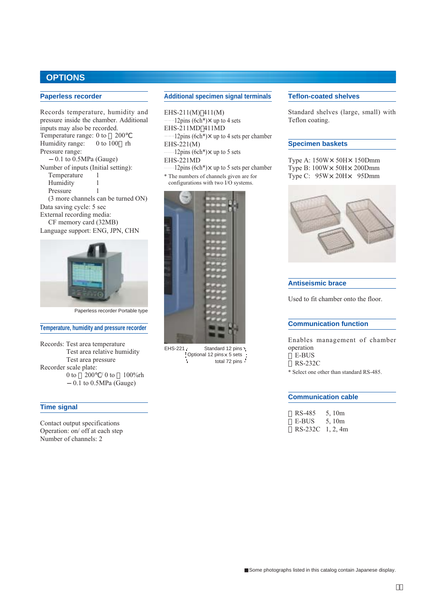### **OPTIONS**

### **Paperless recorder**

Records temperature, humidity and pressure inside the chamber. Additional inputs may also be recorded. Temperature range: 0 to 200<br>Humidity range: 0 to 100 rh Humidity range: Pressure range:  $0.1$  to  $0.5MPa$  (Gauge) Number of inputs (Initial setting): Temperature 1 Humidity 1 Pressure 1 (3 more channels can be turned ON) Data saving cycle: 5 sec External recording media: CF memory card (32MB) Language support: ENG, JPN, CHN



Paperless recorder Portable type

#### **Temperature, humidity and pressure recorder**

Records: Test area temperature Test area relative humidity Test area pressure Recorder scale plate: 0 to 200 / 0 to 100%rh 0.1 to 0.5MPa (Gauge)

#### **Time signal**

Contact output specifications Operation: on/ off at each step Number of channels: 2

### **Additional specimen signal terminals**

EHS-211(M) 411(M)  $12$ pins (6ch<sup>\*</sup>) $\times$  up to 4 sets EHS-211MD 411MD  $12 \text{pins}$  (6ch<sup>\*</sup>) $\times$  up to 4 sets per chamber EHS-221(M)  $12 \text{pins}$  (6ch<sup>\*</sup>) $\times$  up to 5 sets EHS-221MD  $12 \text{pins}$  (6ch<sup>\*</sup>) $\times$  up to 5 sets per chamber

\* The numbers of channels given are for configurations with two I/O systems.



EHS-221 Standard 12 pins Optional 12 pins× 5 sets total 72 pins

#### **Teflon-coated shelves**

Standard shelves (large, small) with Teflon coating.

### **Specimen baskets**

Type A:  $150W \times 50H \times 150Dmm$ Type B:  $100W \times 50H \times 200Dmm$ Type C:  $95W \times 20H \times 95Dmm$ 



#### **Antiseismic brace**

Used to fit chamber onto the floor.

#### **Communication function**

Enables management of chamber operation E-BUS RS-232C

\* Select one other than standard RS-485.

#### **Communication cable**

| RS-485           | 5.10m |
|------------------|-------|
| E-BUS            | 5.10m |
| RS-232C 1, 2, 4m |       |